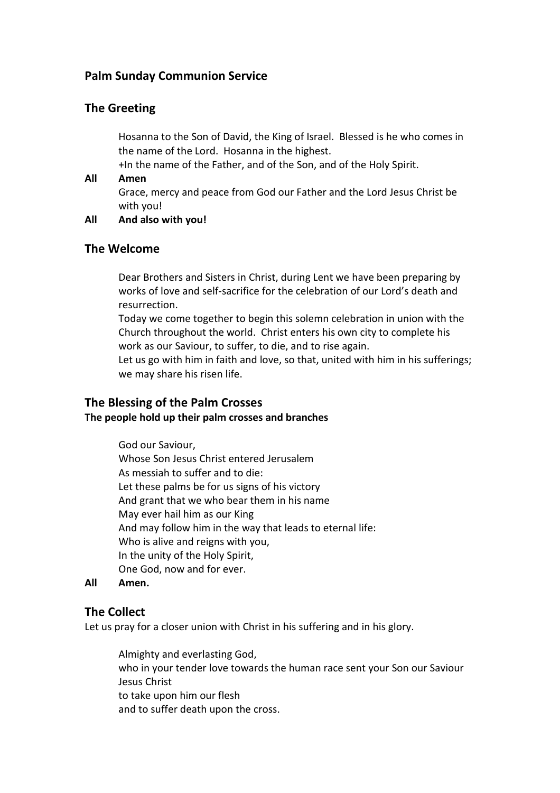# **Palm Sunday Communion Service**

## **The Greeting**

Hosanna to the Son of David, the King of Israel. Blessed is he who comes in the name of the Lord. Hosanna in the highest.

+In the name of the Father, and of the Son, and of the Holy Spirit.

#### **All Amen**

Grace, mercy and peace from God our Father and the Lord Jesus Christ be with you!

#### **All And also with you!**

### **The Welcome**

Dear Brothers and Sisters in Christ, during Lent we have been preparing by works of love and self-sacrifice for the celebration of our Lord's death and resurrection.

Today we come together to begin this solemn celebration in union with the Church throughout the world. Christ enters his own city to complete his work as our Saviour, to suffer, to die, and to rise again.

Let us go with him in faith and love, so that, united with him in his sufferings; we may share his risen life.

# **The Blessing of the Palm Crosses**

### **The people hold up their palm crosses and branches**

God our Saviour, Whose Son Jesus Christ entered Jerusalem As messiah to suffer and to die: Let these palms be for us signs of his victory And grant that we who bear them in his name May ever hail him as our King And may follow him in the way that leads to eternal life: Who is alive and reigns with you, In the unity of the Holy Spirit, One God, now and for ever.

#### **All Amen.**

## **The Collect**

Let us pray for a closer union with Christ in his suffering and in his glory.

Almighty and everlasting God, who in your tender love towards the human race sent your Son our Saviour Jesus Christ to take upon him our flesh and to suffer death upon the cross.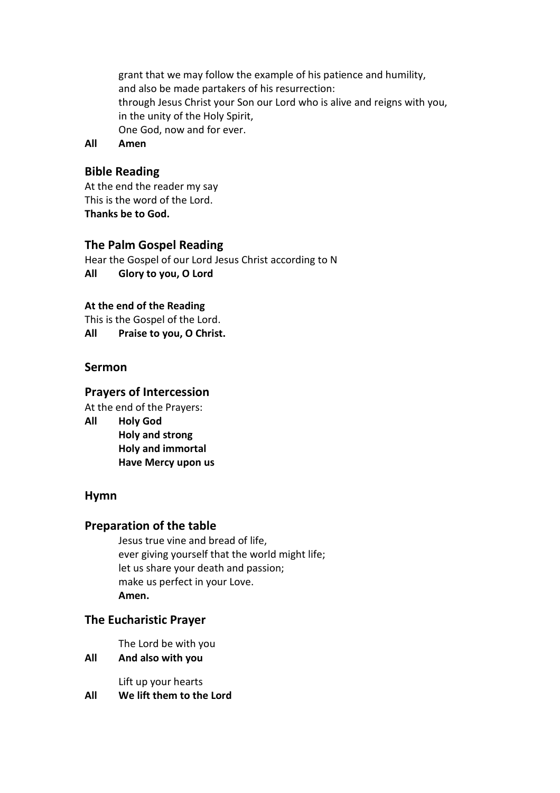grant that we may follow the example of his patience and humility, and also be made partakers of his resurrection: through Jesus Christ your Son our Lord who is alive and reigns with you, in the unity of the Holy Spirit, One God, now and for ever.

**All Amen**

# **Bible Reading**

At the end the reader my say This is the word of the Lord. **Thanks be to God.** 

## **The Palm Gospel Reading**

Hear the Gospel of our Lord Jesus Christ according to N **All Glory to you, O Lord**

### **At the end of the Reading**

This is the Gospel of the Lord. **All Praise to you, O Christ.**

## **Sermon**

# **Prayers of Intercession**

At the end of the Prayers:

**All Holy God** 

**Holy and strong Holy and immortal Have Mercy upon us** 

## **Hymn**

## **Preparation of the table**

Jesus true vine and bread of life, ever giving yourself that the world might life; let us share your death and passion; make us perfect in your Love. **Amen.** 

## **The Eucharistic Prayer**

The Lord be with you

**All And also with you**

Lift up your hearts **All We lift them to the Lord**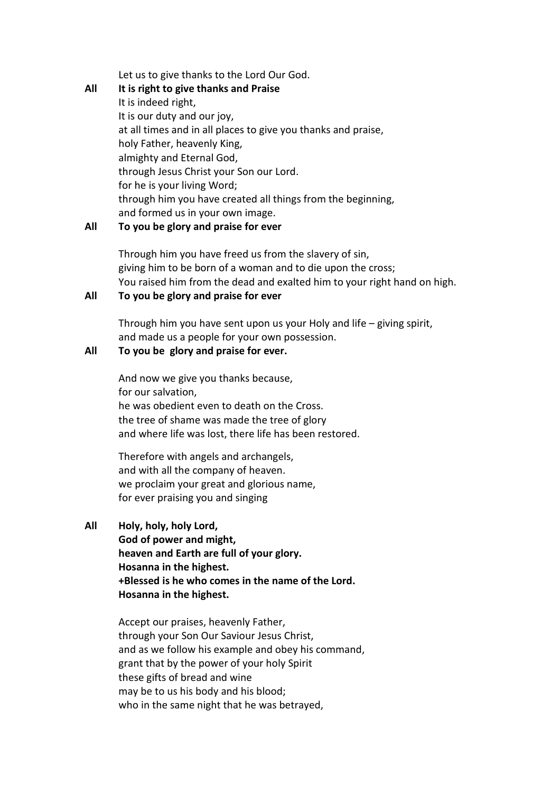Let us to give thanks to the Lord Our God.

**All It is right to give thanks and Praise**  It is indeed right, It is our duty and our joy, at all times and in all places to give you thanks and praise, holy Father, heavenly King, almighty and Eternal God, through Jesus Christ your Son our Lord. for he is your living Word; through him you have created all things from the beginning, and formed us in your own image.

#### **All To you be glory and praise for ever**

Through him you have freed us from the slavery of sin, giving him to be born of a woman and to die upon the cross; You raised him from the dead and exalted him to your right hand on high.

#### **All To you be glory and praise for ever**

Through him you have sent upon us your Holy and life – giving spirit, and made us a people for your own possession.

#### **All To you be glory and praise for ever.**

And now we give you thanks because, for our salvation, he was obedient even to death on the Cross. the tree of shame was made the tree of glory and where life was lost, there life has been restored.

Therefore with angels and archangels, and with all the company of heaven. we proclaim your great and glorious name, for ever praising you and singing

**All Holy, holy, holy Lord, God of power and might, heaven and Earth are full of your glory. Hosanna in the highest. +Blessed is he who comes in the name of the Lord. Hosanna in the highest.** 

> Accept our praises, heavenly Father, through your Son Our Saviour Jesus Christ, and as we follow his example and obey his command, grant that by the power of your holy Spirit these gifts of bread and wine may be to us his body and his blood; who in the same night that he was betrayed,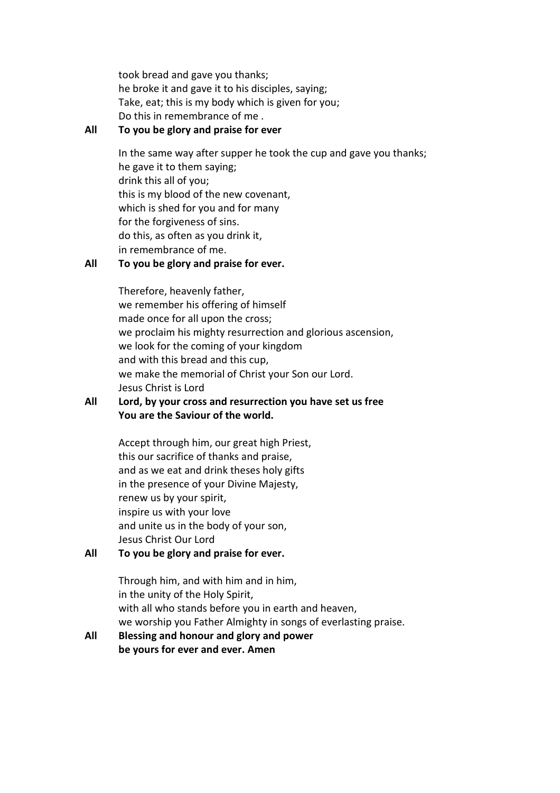took bread and gave you thanks; he broke it and gave it to his disciples, saying; Take, eat; this is my body which is given for you; Do this in remembrance of me .

#### **All To you be glory and praise for ever**

In the same way after supper he took the cup and gave you thanks; he gave it to them saying; drink this all of you; this is my blood of the new covenant, which is shed for you and for many for the forgiveness of sins. do this, as often as you drink it, in remembrance of me.

### **All To you be glory and praise for ever.**

Therefore, heavenly father, we remember his offering of himself made once for all upon the cross; we proclaim his mighty resurrection and glorious ascension, we look for the coming of your kingdom and with this bread and this cup, we make the memorial of Christ your Son our Lord. Jesus Christ is Lord

### **All Lord, by your cross and resurrection you have set us free You are the Saviour of the world.**

Accept through him, our great high Priest, this our sacrifice of thanks and praise, and as we eat and drink theses holy gifts in the presence of your Divine Majesty, renew us by your spirit, inspire us with your love and unite us in the body of your son, Jesus Christ Our Lord

### **All To you be glory and praise for ever.**

Through him, and with him and in him, in the unity of the Holy Spirit, with all who stands before you in earth and heaven, we worship you Father Almighty in songs of everlasting praise.

### **All Blessing and honour and glory and power be yours for ever and ever. Amen**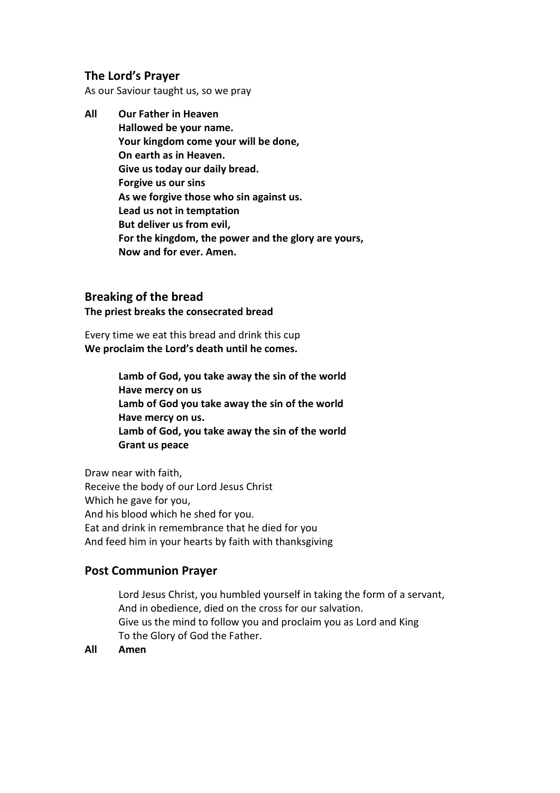# **The Lord's Prayer**

As our Saviour taught us, so we pray

**All Our Father in Heaven Hallowed be your name. Your kingdom come your will be done, On earth as in Heaven. Give us today our daily bread. Forgive us our sins As we forgive those who sin against us. Lead us not in temptation But deliver us from evil, For the kingdom, the power and the glory are yours, Now and for ever. Amen.** 

## **Breaking of the bread**

**The priest breaks the consecrated bread** 

Every time we eat this bread and drink this cup **We proclaim the Lord's death until he comes.** 

> **Lamb of God, you take away the sin of the world Have mercy on us Lamb of God you take away the sin of the world Have mercy on us. Lamb of God, you take away the sin of the world Grant us peace**

Draw near with faith, Receive the body of our Lord Jesus Christ Which he gave for you, And his blood which he shed for you. Eat and drink in remembrance that he died for you And feed him in your hearts by faith with thanksgiving

## **Post Communion Prayer**

Lord Jesus Christ, you humbled yourself in taking the form of a servant, And in obedience, died on the cross for our salvation. Give us the mind to follow you and proclaim you as Lord and King To the Glory of God the Father.

**All Amen**